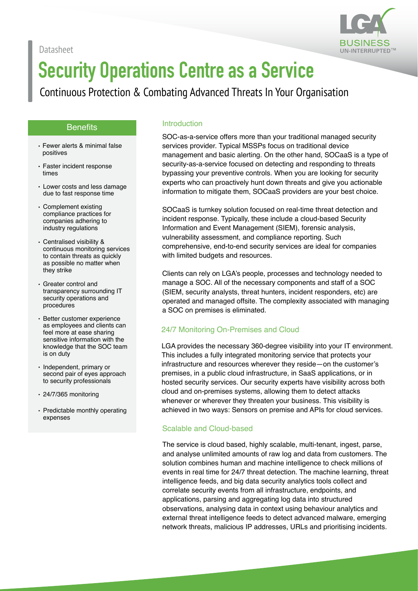



# **Security Operations Centre as a Service**

Continuous Protection & Combating Advanced Threats In Your Organisation

#### **Benefits**

- Fewer alerts & minimal false positives
- Faster incident response times
- Lower costs and less damage due to fast response time
- Complement existing compliance practices for companies adhering to industry regulations
- Centralised visibility & continuous monitoring services to contain threats as quickly as possible no matter when they strike
- Greater control and transparency surrounding IT security operations and procedures
- Better customer experience as employees and clients can feel more at ease sharing sensitive information with the knowledge that the SOC team is on duty
- Independent, primary or second pair of eyes approach to security professionals
- 24/7/365 monitoring
- Predictable monthly operating expenses

#### Introduction

SOC-as-a-service offers more than your traditional managed security services provider. Typical MSSPs focus on traditional device management and basic alerting. On the other hand, SOCaaS is a type of security-as-a-service focused on detecting and responding to threats bypassing your preventive controls. When you are looking for security experts who can proactively hunt down threats and give you actionable information to mitigate them, SOCaaS providers are your best choice.

SOCaaS is turnkey solution focused on real-time threat detection and incident response. Typically, these include a cloud-based Security Information and Event Management (SIEM), forensic analysis, vulnerability assessment, and compliance reporting. Such comprehensive, end-to-end security services are ideal for companies with limited budgets and resources.

Clients can rely on LGA's people, processes and technology needed to manage a SOC. All of the necessary components and staff of a SOC (SIEM, security analysts, threat hunters, incident responders, etc) are operated and managed offsite. The complexity associated with managing a SOC on premises is eliminated.

# 24/7 Monitoring On-Premises and Cloud

LGA provides the necessary 360-degree visibility into your IT environment. This includes a fully integrated monitoring service that protects your infrastructure and resources wherever they reside—on the customer's premises, in a public cloud infrastructure, in SaaS applications, or in hosted security services. Our security experts have visibility across both cloud and on-premises systems, allowing them to detect attacks whenever or wherever they threaten your business. This visibility is achieved in two ways: Sensors on premise and APIs for cloud services.

#### Scalable and Cloud-based

The service is cloud based, highly scalable, multi-tenant, ingest, parse, and analyse unlimited amounts of raw log and data from customers. The solution combines human and machine intelligence to check millions of events in real time for 24/7 threat detection. The machine learning, threat intelligence feeds, and big data security analytics tools collect and correlate security events from all infrastructure, endpoints, and applications, parsing and aggregating log data into structured observations, analysing data in context using behaviour analytics and external threat intelligence feeds to detect advanced malware, emerging network threats, malicious IP addresses, URLs and prioritising incidents.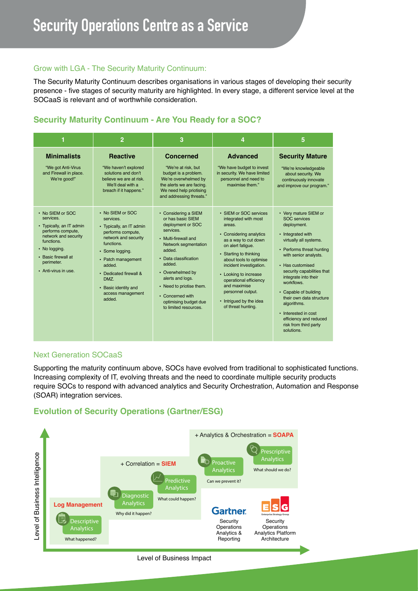#### Grow with LGA - The Security Maturity Continuum:

The Security Maturity Continuum describes organisations in various stages of developing their security presence - five stages of security maturity are highlighted. In every stage, a different service level at the SOCaaS is relevant and of worthwhile consideration.

# **Security Maturity Continuum - Are You Ready for a SOC?**

| 1                                                                                                                                                                                                  | $\overline{2}$                                                                                                                                                                                                                                                   | 3                                                                                                                                                                                                                                                                                                                  | 4                                                                                                                                                                                                                                                                                                                                                         | 5                                                                                                                                                                                                                                                                                                                                                                                                                     |
|----------------------------------------------------------------------------------------------------------------------------------------------------------------------------------------------------|------------------------------------------------------------------------------------------------------------------------------------------------------------------------------------------------------------------------------------------------------------------|--------------------------------------------------------------------------------------------------------------------------------------------------------------------------------------------------------------------------------------------------------------------------------------------------------------------|-----------------------------------------------------------------------------------------------------------------------------------------------------------------------------------------------------------------------------------------------------------------------------------------------------------------------------------------------------------|-----------------------------------------------------------------------------------------------------------------------------------------------------------------------------------------------------------------------------------------------------------------------------------------------------------------------------------------------------------------------------------------------------------------------|
| <b>Minimalists</b><br>"We got Anti-Virus<br>and Firewall in place.<br>We're good!"                                                                                                                 | <b>Reactive</b><br>"We haven't explored<br>solutions and don't<br>believe we are at risk.<br>We'll deal with a<br>breach if it happens."                                                                                                                         | <b>Concerned</b><br>"We're at risk, but<br>budget is a problem.<br>We're overwhelmed by<br>the alerts we are facing.<br>We need help priotising<br>and addressing threats."                                                                                                                                        | <b>Advanced</b><br>"We have budget to invest<br>in security. We have limited<br>personnel and need to<br>maximise them."                                                                                                                                                                                                                                  | <b>Security Mature</b><br>"We're knowledgeable<br>about security. We<br>continuously innovate<br>and improve our program."                                                                                                                                                                                                                                                                                            |
| • No SIEM or SOC<br>services.<br>• Typically, an IT admin<br>performs compute,<br>network and security<br>functions.<br>• No logging.<br>• Basic firewall at<br>perimeter.<br>• Anti-virus in use. | • No SIEM or SOC<br>services.<br>• Typically, an IT admin<br>performs compute,<br>network and security<br>functions.<br>• Some logging.<br>• Patch management<br>added.<br>• Dedicated firewall &<br>DMZ.<br>• Basic identity and<br>access management<br>added. | • Considering a SIEM<br>or has basic SIEM<br>deployment or SOC<br>services.<br>• Multi-firewall and<br>Network segmentation<br>added.<br>• Data classification<br>added.<br>• Overwhelmed by<br>alerts and logs.<br>• Need to priotise them.<br>• Concerned with<br>optimising budget due<br>to limited resources. | • SIEM or SOC services<br>integrated with most<br>areas.<br>• Considering analytics<br>as a way to cut down<br>on alert fatique.<br>• Starting to thinking<br>about tools to optimise<br>incident investigation.<br>• Looking to increase<br>operational efficiency<br>and maximise<br>personnel output.<br>• Intrigued by the idea<br>of threat hunting. | • Very mature SIEM or<br><b>SOC</b> services<br>deployment.<br>• Integrated with<br>virtually all systems.<br>• Performs threat hunting<br>with senior analysts.<br>• Has customised<br>security capabilities that<br>integrate into their<br>workflows.<br>• Capable of building<br>their own data structure<br>algorithms.<br>• Interested in cost<br>efficiency and reduced<br>risk from third party<br>solutions. |

#### Next Generation SOCaaS

Supporting the maturity continuum above, SOCs have evolved from traditional to sophisticated functions. Increasing complexity of IT, evolving threats and the need to coordinate multiple security products require SOCs to respond with advanced analytics and Security Orchestration, Automation and Response (SOAR) integration services.

# **Evolution of Security Operations (Gartner/ESG)**



#### Level of Business Impact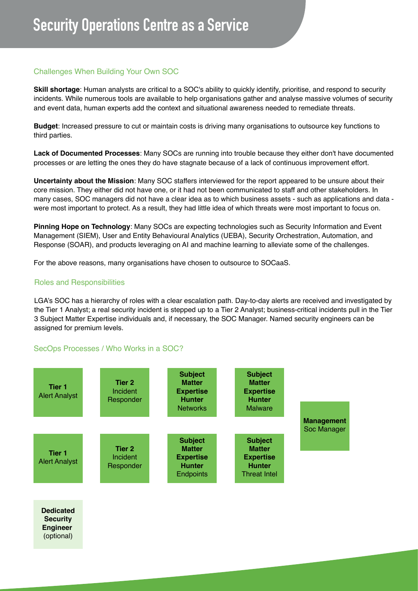# Challenges When Building Your Own SOC

**Skill shortage**: Human analysts are critical to a SOC's ability to quickly identify, prioritise, and respond to security incidents. While numerous tools are available to help organisations gather and analyse massive volumes of security and event data, human experts add the context and situational awareness needed to remediate threats.

**Budget**: Increased pressure to cut or maintain costs is driving many organisations to outsource key functions to third parties.

**Lack of Documented Processes**: Many SOCs are running into trouble because they either don't have documented processes or are letting the ones they do have stagnate because of a lack of continuous improvement effort.

**Uncertainty about the Mission**: Many SOC staffers interviewed for the report appeared to be unsure about their core mission. They either did not have one, or it had not been communicated to staff and other stakeholders. In many cases, SOC managers did not have a clear idea as to which business assets - such as applications and data were most important to protect. As a result, they had little idea of which threats were most important to focus on.

**Pinning Hope on Technology**: Many SOCs are expecting technologies such as Security Information and Event Management (SIEM), User and Entity Behavioural Analytics (UEBA), Security Orchestration, Automation, and Response (SOAR), and products leveraging on AI and machine learning to alleviate some of the challenges.

For the above reasons, many organisations have chosen to outsource to SOCaaS.

## Roles and Responsibilities

LGA's SOC has a hierarchy of roles with a clear escalation path. Day-to-day alerts are received and investigated by the Tier 1 Analyst; a real security incident is stepped up to a Tier 2 Analyst; business-critical incidents pull in the Tier 3 Subject Matter Expertise individuals and, if necessary, the SOC Manager. Named security engineers can be assigned for premium levels.

# SecOps Processes / Who Works in a SOC?



**Dedicated Security Engineer**  (optional)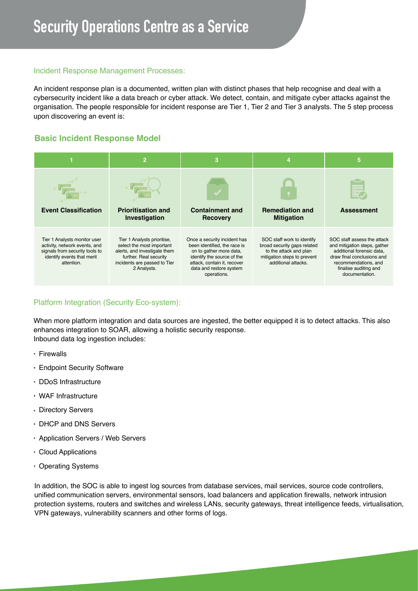## Incident Response Management Processes:

An incident response plan is a documented, written plan with distinct phases that help recognise and deal with a cybersecurity incident like a data breach or cyber attack. We detect, contain, and mitigate cyber attacks against the organisation. The people responsible for incident response are Tier 1, Tier 2 and Tier 3 analysts. The 5 step process upon discovering an event is:

# **Basic Incident Response Model**



# Platform Integration (Security Eco-system):

When more platform integration and data sources are ingested, the better equipped it is to detect attacks. This also enhances integration to SOAR, allowing a holistic security response. Inbound data log ingestion includes:

- Firewalls
- Endpoint Security Software
- DDoS Infrastructure
- WAF Infrastructure
- Directory Servers
- DHCP and DNS Servers
- Application Servers / Web Servers
- Cloud Applications
- Operating Systems

In addition, the SOC is able to ingest log sources from database services, mail services, source code controllers, unified communication servers, environmental sensors, load balancers and application firewalls, network intrusion protection systems, routers and switches and wireless LANs, security gateways, threat intelligence feeds, virtualisation, VPN gateways, vulnerability scanners and other forms of logs.